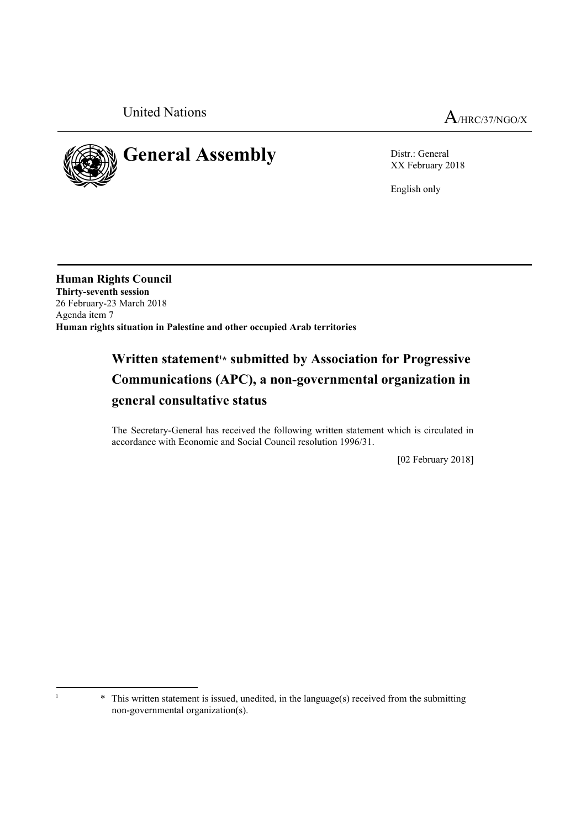



XX February 2018

English only

**Human Rights Council Thirty-seventh session** 26 February-23 March 2018 Agenda item 7 **Human rights situation in Palestine and other occupied Arab territories**

# Written statement<sup>1\*</sup> submitted by Association for Progressive **Communications (APC), a non-governmental organization in general consultative status**

The Secretary-General has received the following written statement which is circulated in accordance with Economic and Social Council resolution 1996/31.

[02 February 2018]

<sup>&</sup>lt;sup>1</sup> \* This written statement is issued, unedited, in the language(s) received from the submitting non-governmental organization(s).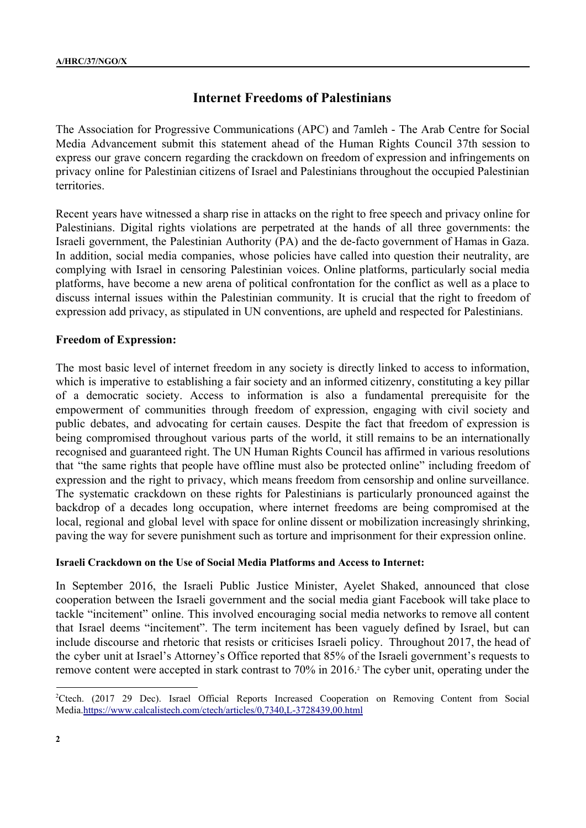# **Internet Freedoms of Palestinians**

The Association for Progressive Communications (APC) and 7amleh - The Arab Centre for Social Media Advancement submit this statement ahead of the Human Rights Council 37th session to express our grave concern regarding the crackdown on freedom of expression and infringements on privacy online for Palestinian citizens of Israel and Palestinians throughout the occupied Palestinian territories.

Recent years have witnessed a sharp rise in attacks on the right to free speech and privacy online for Palestinians. Digital rights violations are perpetrated at the hands of all three governments: the Israeli government, the Palestinian Authority (PA) and the de-facto government of Hamas in Gaza. In addition, social media companies, whose policies have called into question their neutrality, are complying with Israel in censoring Palestinian voices. Online platforms, particularly social media platforms, have become a new arena of political confrontation for the conflict as well as a place to discuss internal issues within the Palestinian community. It is crucial that the right to freedom of expression add privacy, as stipulated in UN conventions, are upheld and respected for Palestinians.

# **Freedom of Expression:**

The most basic level of internet freedom in any society is directly linked to access to information, which is imperative to establishing a fair society and an informed citizenry, constituting a key pillar of a democratic society. Access to information is also a fundamental prerequisite for the empowerment of communities through freedom of expression, engaging with civil society and public debates, and advocating for certain causes. Despite the fact that freedom of expression is being compromised throughout various parts of the world, it still remains to be an internationally recognised and guaranteed right. The UN Human Rights Council has affirmed in various resolutions that "the same rights that people have offline must also be protected online" including freedom of expression and the right to privacy, which means freedom from censorship and online surveillance. The systematic crackdown on these rights for Palestinians is particularly pronounced against the backdrop of a decades long occupation, where internet freedoms are being compromised at the local, regional and global level with space for online dissent or mobilization increasingly shrinking, paving the way for severe punishment such as torture and imprisonment for their expression online.

#### **Israeli Crackdown on the Use of Social Media Platforms and Access to Internet:**

In September 2016, the Israeli Public Justice Minister, Ayelet Shaked, announced that close cooperation between the Israeli government and the social media giant Facebook will take place to tackle "incitement" online. This involved encouraging social media networks to remove all content that Israel deems "incitement". The term incitement has been vaguely defined by Israel, but can include discourse and rhetoric that resists or criticises Israeli policy. Throughout 2017, the head of the cyber unit at Israel's Attorney's Office reported that 85% of the Israeli government's requests to remove content were accepted in stark contrast to 70% in 2016.<sup>2</sup> The cyber unit, operating under the

<sup>&</sup>lt;sup>2</sup>Ctech. (2017 29 Dec). Israel Official Reports Increased Cooperation on Removing Content from Social Media.<https://www.calcalistech.com/ctech/articles/0,7340,L-3728439,00.html>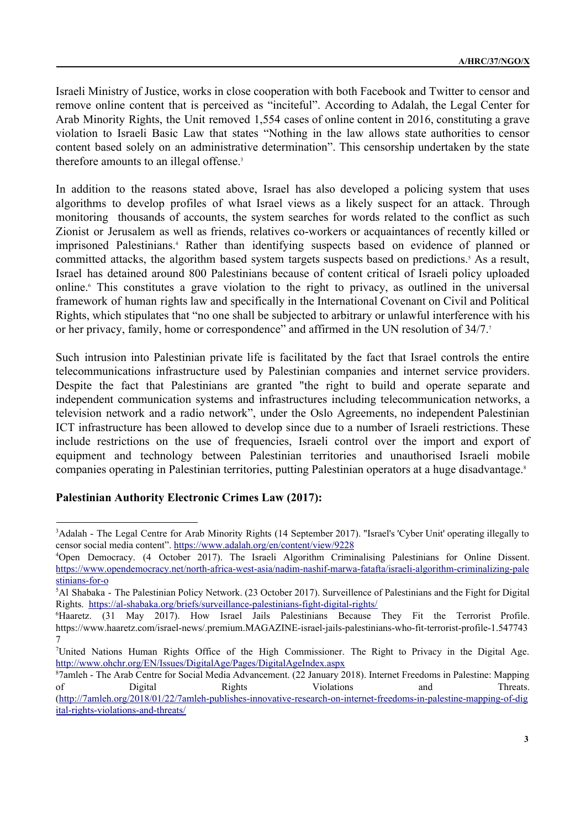Israeli Ministry of Justice, works in close cooperation with both Facebook and Twitter to censor and remove online content that is perceived as "inciteful". According to Adalah, the Legal Center for Arab Minority Rights, the Unit removed 1,554 cases of online content in 2016, constituting a grave violation to Israeli Basic Law that states "Nothing in the law allows state authorities to censor content based solely on an administrative determination". This censorship undertaken by the state therefore amounts to an illegal offense.<sup>3</sup>

In addition to the reasons stated above, Israel has also developed a policing system that uses algorithms to develop profiles of what Israel views as a likely suspect for an attack. Through monitoring thousands of accounts, the system searches for words related to the conflict as such Zionist or Jerusalem as well as friends, relatives co-workers or acquaintances of recently killed or imprisoned Palestinians.<sup>4</sup> Rather than identifying suspects based on evidence of planned or committed attacks, the algorithm based system targets suspects based on predictions.<sup>5</sup> As a result, Israel has detained around 800 Palestinians because of content critical of Israeli policy uploaded online.<sup>6</sup> This constitutes a grave violation to the right to privacy, as outlined in the universal framework of human rights law and specifically in the International Covenant on Civil and Political Rights, which stipulates that "no one shall be subjected to arbitrary or unlawful interference with his or her privacy, family, home or correspondence" and affirmed in the UN resolution of 34/7.<sup>7</sup>

Such intrusion into Palestinian private life is facilitated by the fact that Israel controls the entire telecommunications infrastructure used by Palestinian companies and internet service providers. Despite the fact that Palestinians are granted "the right to build and operate separate and independent communication systems and infrastructures including telecommunication networks, a television network and a radio network", under the Oslo Agreements, no independent Palestinian ICT infrastructure has been allowed to develop since due to a number of Israeli restrictions. These include restrictions on the use of frequencies, Israeli control over the import and export of equipment and technology between Palestinian territories and unauthorised Israeli mobile companies operating in Palestinian territories, putting Palestinian operators at a huge disadvantage.<sup>8</sup>

# **Palestinian Authority Electronic Crimes Law (2017):**

<sup>3</sup>Adalah - The Legal Centre for Arab Minority Rights (14 September 2017). "Israel's 'Cyber Unit' operating illegally to censor social media content". <https://www.adalah.org/en/content/view/9228>

<sup>4</sup>Open Democracy. (4 October 2017). The Israeli Algorithm Criminalising Palestinians for Online Dissent. [https://www.opendemocracy.net/north-africa-west-asia/nadim-nashif-marwa-fatafta/israeli-algorithm-criminalizing-pale](https://www.opendemocracy.net/north-africa-west-asia/nadim-nashif-marwa-fatafta/israeli-algorithm-criminalizing-palestinians-for-o) [stinians-for-o](https://www.opendemocracy.net/north-africa-west-asia/nadim-nashif-marwa-fatafta/israeli-algorithm-criminalizing-palestinians-for-o)

<sup>5</sup>Al Shabaka - The Palestinian Policy Network. (23 October 2017). Surveillence of Palestinians and the Fight for Digital Rights. <https://al-shabaka.org/briefs/surveillance-palestinians-fight-digital-rights/>

<sup>6</sup>Haaretz. (31 May 2017). How Israel Jails Palestinians Because They Fit the Terrorist Profile. https://www.haaretz.com/israel-news/.premium.MAGAZINE-israel-jails-palestinians-who-fit-terrorist-profile-1.547743 7

<sup>7</sup>United Nations Human Rights Office of the High Commissioner. The Right to Privacy in the Digital Age. <http://www.ohchr.org/EN/Issues/DigitalAge/Pages/DigitalAgeIndex.aspx>

<sup>8</sup>7amleh - The Arab Centre for Social Media Advancement. (22 January 2018). Internet Freedoms in Palestine: Mapping of Digital Rights Violations and Threats. [\(http://7amleh.org/2018/01/22/7amleh-publishes-innovative-research-on-internet-freedoms-in-palestine-mapping-of-dig](http://7amleh.org/2018/01/22/7amleh-publishes-innovative-research-on-internet-freedoms-in-palestine-mapping-of-digital-rights-violations-and-threats/) [ital-rights-violations-and-threats/](http://7amleh.org/2018/01/22/7amleh-publishes-innovative-research-on-internet-freedoms-in-palestine-mapping-of-digital-rights-violations-and-threats/)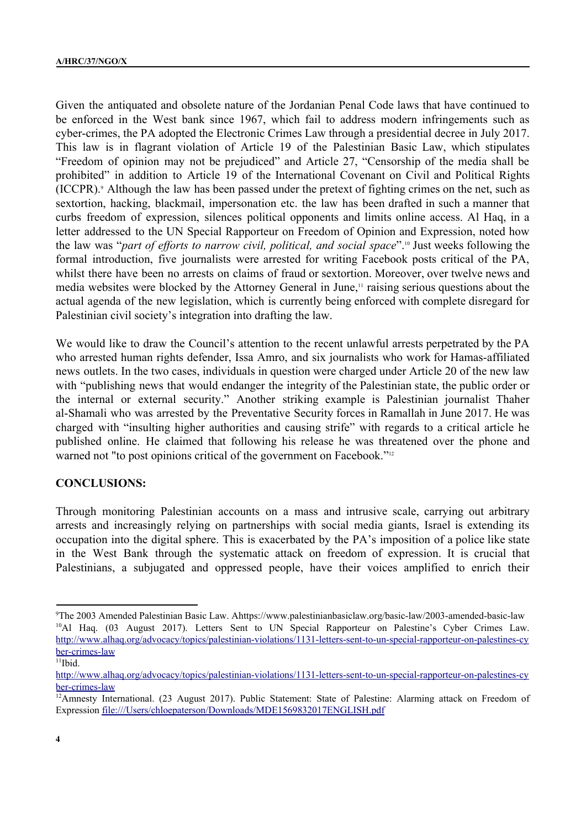Given the antiquated and obsolete nature of the Jordanian Penal Code laws that have continued to be enforced in the West bank since 1967, which fail to address modern infringements such as cyber-crimes, the PA adopted the Electronic Crimes Law through a presidential decree in July 2017. This law is in flagrant violation of Article 19 of the Palestinian Basic Law, which stipulates "Freedom of opinion may not be prejudiced" and Article 27, "Censorship of the media shall be prohibited" in addition to Article 19 of the International Covenant on Civil and Political Rights (ICCPR).<sup>9</sup> Although the law has been passed under the pretext of fighting crimes on the net, such as sextortion, hacking, blackmail, impersonation etc. the law has been drafted in such a manner that curbs freedom of expression, silences political opponents and limits online access. Al Haq, in a letter addressed to the UN Special Rapporteur on Freedom of Opinion and Expression, noted how the law was "*part of efforts to narrow civil, political, and social space*".<sup>10</sup> Just weeks following the formal introduction, five journalists were arrested for writing Facebook posts critical of the PA, whilst there have been no arrests on claims of fraud or sextortion. Moreover, over twelve news and media websites were blocked by the Attorney General in June,<sup>11</sup> raising serious questions about the actual agenda of the new legislation, which is currently being enforced with complete disregard for Palestinian civil society's integration into drafting the law.

We would like to draw the Council's attention to the recent unlawful arrests perpetrated by the PA who arrested human rights defender, Issa Amro, and six journalists who work for Hamas-affiliated news outlets. In the two cases, individuals in question were charged under Article 20 of the new law with "publishing news that would endanger the integrity of the Palestinian state, the public order or the internal or external security." Another striking example is Palestinian journalist Thaher al-Shamali who was arrested by the Preventative Security forces in Ramallah in June 2017. He was charged with "insulting higher authorities and causing strife" with regards to a critical article he published online. He claimed that following his release he was threatened over the phone and warned not "to post opinions critical of the government on Facebook."<sup>12</sup>

# **CONCLUSIONS:**

Through monitoring Palestinian accounts on a mass and intrusive scale, carrying out arbitrary arrests and increasingly relying on partnerships with social media giants, Israel is extending its occupation into the digital sphere. This is exacerbated by the PA's imposition of a police like state in the West Bank through the systematic attack on freedom of expression. It is crucial that Palestinians, a subjugated and oppressed people, have their voices amplified to enrich their

<sup>9</sup>The 2003 Amended Palestinian Basic Law. Ahttps://www.palestinianbasiclaw.org/basic-law/2003-amended-basic-law <sup>10</sup>Al Haq. (03 August 2017). Letters Sent to UN Special Rapporteur on Palestine's Cyber Crimes Law. [http://www.alhaq.org/advocacy/topics/palestinian-violations/1131-letters-sent-to-un-special-rapporteur-on-palestines-cy](http://www.alhaq.org/advocacy/topics/palestinian-violations/1131-letters-sent-to-un-special-rapporteur-on-palestines-cyber-crimes-law) [ber-crimes-law](http://www.alhaq.org/advocacy/topics/palestinian-violations/1131-letters-sent-to-un-special-rapporteur-on-palestines-cyber-crimes-law)

 $<sup>11</sup>$ Ibid.</sup>

[http://www.alhaq.org/advocacy/topics/palestinian-violations/1131-letters-sent-to-un-special-rapporteur-on-palestines-cy](http://www.alhaq.org/advocacy/topics/palestinian-violations/1131-letters-sent-to-un-special-rapporteur-on-palestines-cyber-crimes-law) [ber-crimes-law](http://www.alhaq.org/advocacy/topics/palestinian-violations/1131-letters-sent-to-un-special-rapporteur-on-palestines-cyber-crimes-law)

<sup>&</sup>lt;sup>12</sup>Amnesty International. (23 August 2017). Public Statement: State of Palestine: Alarming attack on Freedom of Expression file:///Users/chloepaterson/Downloads/MDE1569832017ENGLISH.pdf